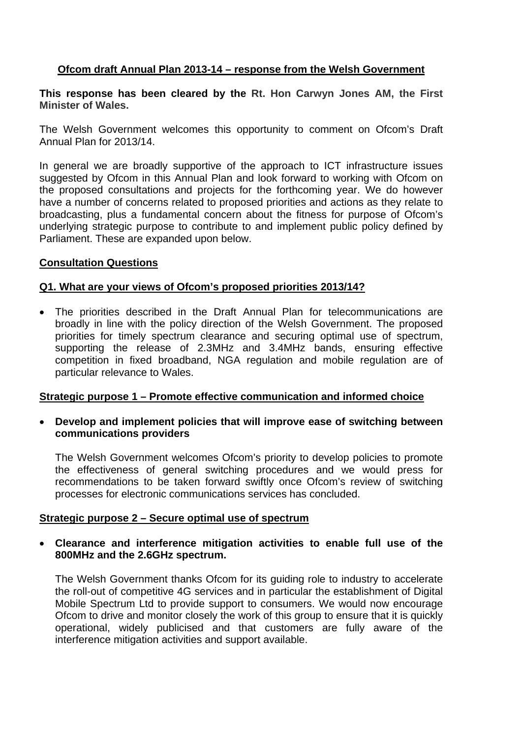# **Ofcom draft Annual Plan 2013-14 – response from the Welsh Government**

**This response has been cleared by the Rt. Hon Carwyn Jones AM, the First Minister of Wales.**

The Welsh Government welcomes this opportunity to comment on Ofcom's Draft Annual Plan for 2013/14.

In general we are broadly supportive of the approach to ICT infrastructure issues suggested by Ofcom in this Annual Plan and look forward to working with Ofcom on the proposed consultations and projects for the forthcoming year. We do however have a number of concerns related to proposed priorities and actions as they relate to broadcasting, plus a fundamental concern about the fitness for purpose of Ofcom's underlying strategic purpose to contribute to and implement public policy defined by Parliament. These are expanded upon below.

### **Consultation Questions**

# **Q1. What are your views of Ofcom's proposed priorities 2013/14?**

• The priorities described in the Draft Annual Plan for telecommunications are broadly in line with the policy direction of the Welsh Government. The proposed priorities for timely spectrum clearance and securing optimal use of spectrum, supporting the release of 2.3MHz and 3.4MHz bands, ensuring effective competition in fixed broadband, NGA regulation and mobile regulation are of particular relevance to Wales.

#### **Strategic purpose 1 – Promote effective communication and informed choice**

• **Develop and implement policies that will improve ease of switching between communications providers**

The Welsh Government welcomes Ofcom's priority to develop policies to promote the effectiveness of general switching procedures and we would press for recommendations to be taken forward swiftly once Ofcom's review of switching processes for electronic communications services has concluded.

#### **Strategic purpose 2 – Secure optimal use of spectrum**

### • **Clearance and interference mitigation activities to enable full use of the 800MHz and the 2.6GHz spectrum.**

The Welsh Government thanks Ofcom for its guiding role to industry to accelerate the roll-out of competitive 4G services and in particular the establishment of Digital Mobile Spectrum Ltd to provide support to consumers. We would now encourage Ofcom to drive and monitor closely the work of this group to ensure that it is quickly operational, widely publicised and that customers are fully aware of the interference mitigation activities and support available.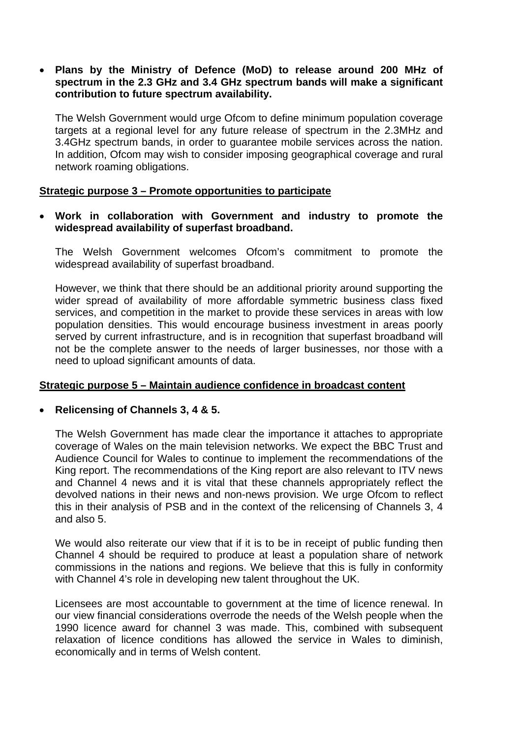# • **Plans by the Ministry of Defence (MoD) to release around 200 MHz of spectrum in the 2.3 GHz and 3.4 GHz spectrum bands will make a significant contribution to future spectrum availability.**

The Welsh Government would urge Ofcom to define minimum population coverage targets at a regional level for any future release of spectrum in the 2.3MHz and 3.4GHz spectrum bands, in order to guarantee mobile services across the nation. In addition, Ofcom may wish to consider imposing geographical coverage and rural network roaming obligations.

# **Strategic purpose 3 – Promote opportunities to participate**

### • **Work in collaboration with Government and industry to promote the widespread availability of superfast broadband.**

The Welsh Government welcomes Ofcom's commitment to promote the widespread availability of superfast broadband.

However, we think that there should be an additional priority around supporting the wider spread of availability of more affordable symmetric business class fixed services, and competition in the market to provide these services in areas with low population densities. This would encourage business investment in areas poorly served by current infrastructure, and is in recognition that superfast broadband will not be the complete answer to the needs of larger businesses, nor those with a need to upload significant amounts of data.

# **Strategic purpose 5 – Maintain audience confidence in broadcast content**

#### • **Relicensing of Channels 3, 4 & 5.**

The Welsh Government has made clear the importance it attaches to appropriate coverage of Wales on the main television networks. We expect the BBC Trust and Audience Council for Wales to continue to implement the recommendations of the King report. The recommendations of the King report are also relevant to ITV news and Channel 4 news and it is vital that these channels appropriately reflect the devolved nations in their news and non-news provision. We urge Ofcom to reflect this in their analysis of PSB and in the context of the relicensing of Channels 3, 4 and also 5.

We would also reiterate our view that if it is to be in receipt of public funding then Channel 4 should be required to produce at least a population share of network commissions in the nations and regions. We believe that this is fully in conformity with Channel 4's role in developing new talent throughout the UK.

Licensees are most accountable to government at the time of licence renewal. In our view financial considerations overrode the needs of the Welsh people when the 1990 licence award for channel 3 was made. This, combined with subsequent relaxation of licence conditions has allowed the service in Wales to diminish, economically and in terms of Welsh content.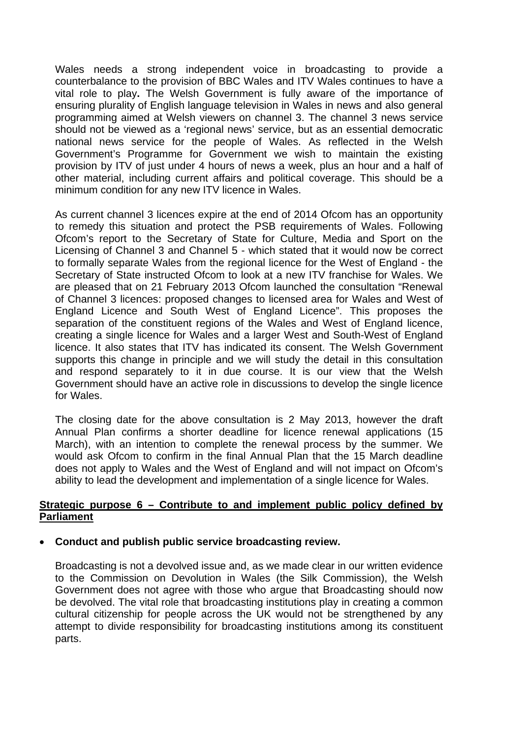Wales needs a strong independent voice in broadcasting to provide a counterbalance to the provision of BBC Wales and ITV Wales continues to have a vital role to play**.** The Welsh Government is fully aware of the importance of ensuring plurality of English language television in Wales in news and also general programming aimed at Welsh viewers on channel 3. The channel 3 news service should not be viewed as a 'regional news' service, but as an essential democratic national news service for the people of Wales. As reflected in the Welsh Government's Programme for Government we wish to maintain the existing provision by ITV of just under 4 hours of news a week, plus an hour and a half of other material, including current affairs and political coverage. This should be a minimum condition for any new ITV licence in Wales.

As current channel 3 licences expire at the end of 2014 Ofcom has an opportunity to remedy this situation and protect the PSB requirements of Wales. Following Ofcom's report to the Secretary of State for Culture, Media and Sport on the Licensing of Channel 3 and Channel 5 - which stated that it would now be correct to formally separate Wales from the regional licence for the West of England - the Secretary of State instructed Ofcom to look at a new ITV franchise for Wales. We are pleased that on 21 February 2013 Ofcom launched the consultation "Renewal of Channel 3 licences: proposed changes to licensed area for Wales and West of England Licence and South West of England Licence". This proposes the separation of the constituent regions of the Wales and West of England licence, creating a single licence for Wales and a larger West and South-West of England licence. It also states that ITV has indicated its consent. The Welsh Government supports this change in principle and we will study the detail in this consultation and respond separately to it in due course. It is our view that the Welsh Government should have an active role in discussions to develop the single licence for Wales.

The closing date for the above consultation is 2 May 2013, however the draft Annual Plan confirms a shorter deadline for licence renewal applications (15 March), with an intention to complete the renewal process by the summer. We would ask Ofcom to confirm in the final Annual Plan that the 15 March deadline does not apply to Wales and the West of England and will not impact on Ofcom's ability to lead the development and implementation of a single licence for Wales.

### **Strategic purpose 6 – Contribute to and implement public policy defined by Parliament**

# • **Conduct and publish public service broadcasting review.**

Broadcasting is not a devolved issue and, as we made clear in our written evidence to the Commission on Devolution in Wales (the Silk Commission), the Welsh Government does not agree with those who argue that Broadcasting should now be devolved. The vital role that broadcasting institutions play in creating a common cultural citizenship for people across the UK would not be strengthened by any attempt to divide responsibility for broadcasting institutions among its constituent parts.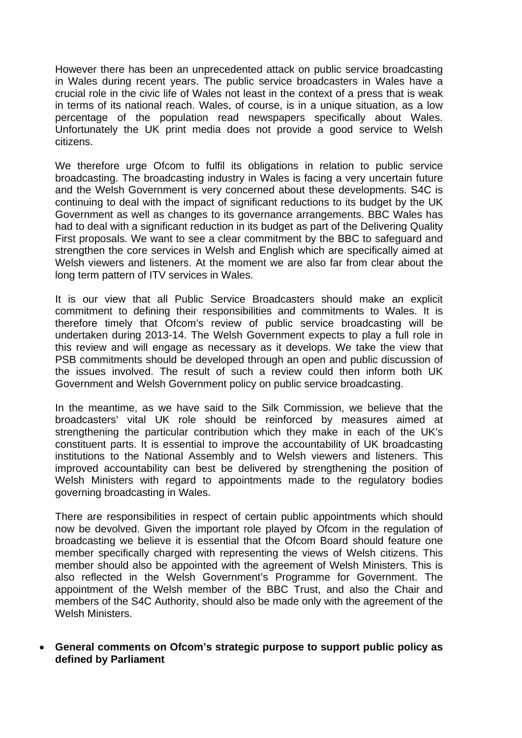However there has been an unprecedented attack on public service broadcasting in Wales during recent years. The public service broadcasters in Wales have a crucial role in the civic life of Wales not least in the context of a press that is weak in terms of its national reach. Wales, of course, is in a unique situation, as a low percentage of the population read newspapers specifically about Wales. Unfortunately the UK print media does not provide a good service to Welsh citizens.

We therefore urge Ofcom to fulfil its obligations in relation to public service broadcasting. The broadcasting industry in Wales is facing a very uncertain future and the Welsh Government is very concerned about these developments. S4C is continuing to deal with the impact of significant reductions to its budget by the UK Government as well as changes to its governance arrangements. BBC Wales has had to deal with a significant reduction in its budget as part of the Delivering Quality First proposals. We want to see a clear commitment by the BBC to safeguard and strengthen the core services in Welsh and English which are specifically aimed at Welsh viewers and listeners. At the moment we are also far from clear about the long term pattern of ITV services in Wales.

It is our view that all Public Service Broadcasters should make an explicit commitment to defining their responsibilities and commitments to Wales. It is therefore timely that Ofcom's review of public service broadcasting will be undertaken during 2013-14. The Welsh Government expects to play a full role in this review and will engage as necessary as it develops. We take the view that PSB commitments should be developed through an open and public discussion of the issues involved. The result of such a review could then inform both UK Government and Welsh Government policy on public service broadcasting.

In the meantime, as we have said to the Silk Commission, we believe that the broadcasters' vital UK role should be reinforced by measures aimed at strengthening the particular contribution which they make in each of the UK's constituent parts. It is essential to improve the accountability of UK broadcasting institutions to the National Assembly and to Welsh viewers and listeners. This improved accountability can best be delivered by strengthening the position of Welsh Ministers with regard to appointments made to the regulatory bodies governing broadcasting in Wales.

There are responsibilities in respect of certain public appointments which should now be devolved. Given the important role played by Ofcom in the regulation of broadcasting we believe it is essential that the Ofcom Board should feature one member specifically charged with representing the views of Welsh citizens. This member should also be appointed with the agreement of Welsh Ministers. This is also reflected in the Welsh Government's Programme for Government. The appointment of the Welsh member of the BBC Trust, and also the Chair and members of the S4C Authority, should also be made only with the agreement of the Welsh Ministers.

• **General comments on Ofcom's strategic purpose to support public policy as defined by Parliament**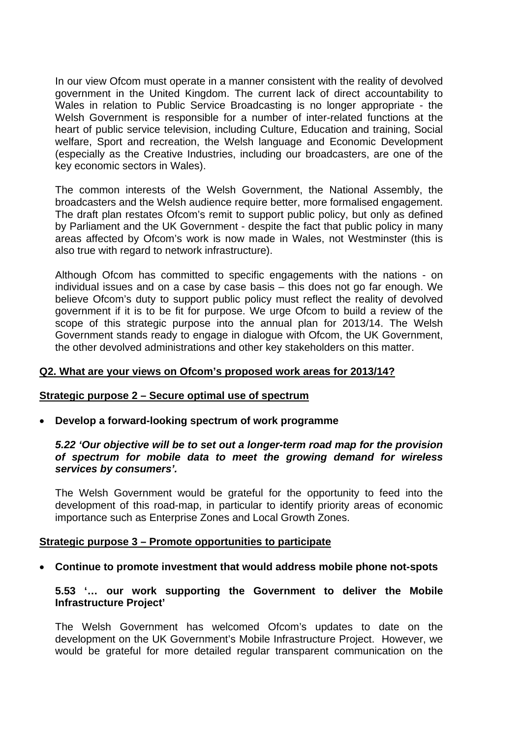In our view Ofcom must operate in a manner consistent with the reality of devolved government in the United Kingdom. The current lack of direct accountability to Wales in relation to Public Service Broadcasting is no longer appropriate - the Welsh Government is responsible for a number of inter-related functions at the heart of public service television, including Culture, Education and training, Social welfare, Sport and recreation, the Welsh language and Economic Development (especially as the Creative Industries, including our broadcasters, are one of the key economic sectors in Wales).

The common interests of the Welsh Government, the National Assembly, the broadcasters and the Welsh audience require better, more formalised engagement. The draft plan restates Ofcom's remit to support public policy, but only as defined by Parliament and the UK Government - despite the fact that public policy in many areas affected by Ofcom's work is now made in Wales, not Westminster (this is also true with regard to network infrastructure).

Although Ofcom has committed to specific engagements with the nations - on individual issues and on a case by case basis – this does not go far enough. We believe Ofcom's duty to support public policy must reflect the reality of devolved government if it is to be fit for purpose. We urge Ofcom to build a review of the scope of this strategic purpose into the annual plan for 2013/14. The Welsh Government stands ready to engage in dialogue with Ofcom, the UK Government, the other devolved administrations and other key stakeholders on this matter.

## **Q2. What are your views on Ofcom's proposed work areas for 2013/14?**

#### **Strategic purpose 2 – Secure optimal use of spectrum**

• **Develop a forward-looking spectrum of work programme**

*5.22 'Our objective will be to set out a longer-term road map for the provision of spectrum for mobile data to meet the growing demand for wireless services by consumers'.*

The Welsh Government would be grateful for the opportunity to feed into the development of this road-map, in particular to identify priority areas of economic importance such as Enterprise Zones and Local Growth Zones.

#### **Strategic purpose 3 – Promote opportunities to participate**

• **Continue to promote investment that would address mobile phone not-spots**

#### **5.53 '… our work supporting the Government to deliver the Mobile Infrastructure Project'**

The Welsh Government has welcomed Ofcom's updates to date on the development on the UK Government's Mobile Infrastructure Project. However, we would be grateful for more detailed regular transparent communication on the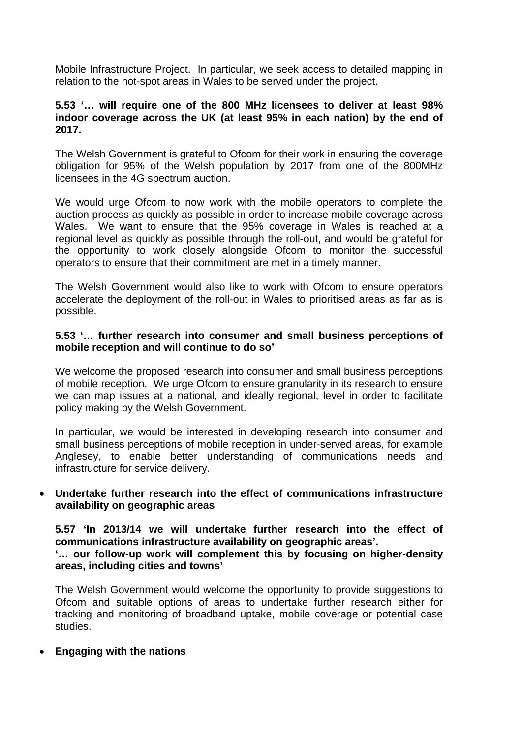Mobile Infrastructure Project. In particular, we seek access to detailed mapping in relation to the not-spot areas in Wales to be served under the project.

# **5.53 '… will require one of the 800 MHz licensees to deliver at least 98% indoor coverage across the UK (at least 95% in each nation) by the end of 2017.**

The Welsh Government is grateful to Ofcom for their work in ensuring the coverage obligation for 95% of the Welsh population by 2017 from one of the 800MHz licensees in the 4G spectrum auction.

We would urge Ofcom to now work with the mobile operators to complete the auction process as quickly as possible in order to increase mobile coverage across Wales. We want to ensure that the 95% coverage in Wales is reached at a regional level as quickly as possible through the roll-out, and would be grateful for the opportunity to work closely alongside Ofcom to monitor the successful operators to ensure that their commitment are met in a timely manner.

The Welsh Government would also like to work with Ofcom to ensure operators accelerate the deployment of the roll-out in Wales to prioritised areas as far as is possible.

### **5.53 '… further research into consumer and small business perceptions of mobile reception and will continue to do so'**

We welcome the proposed research into consumer and small business perceptions of mobile reception. We urge Ofcom to ensure granularity in its research to ensure we can map issues at a national, and ideally regional, level in order to facilitate policy making by the Welsh Government.

In particular, we would be interested in developing research into consumer and small business perceptions of mobile reception in under-served areas, for example Anglesey, to enable better understanding of communications needs and infrastructure for service delivery.

# • **Undertake further research into the effect of communications infrastructure availability on geographic areas**

**5.57 'In 2013/14 we will undertake further research into the effect of communications infrastructure availability on geographic areas'. '… our follow-up work will complement this by focusing on higher-density areas, including cities and towns'**

The Welsh Government would welcome the opportunity to provide suggestions to Ofcom and suitable options of areas to undertake further research either for tracking and monitoring of broadband uptake, mobile coverage or potential case studies.

#### • **Engaging with the nations**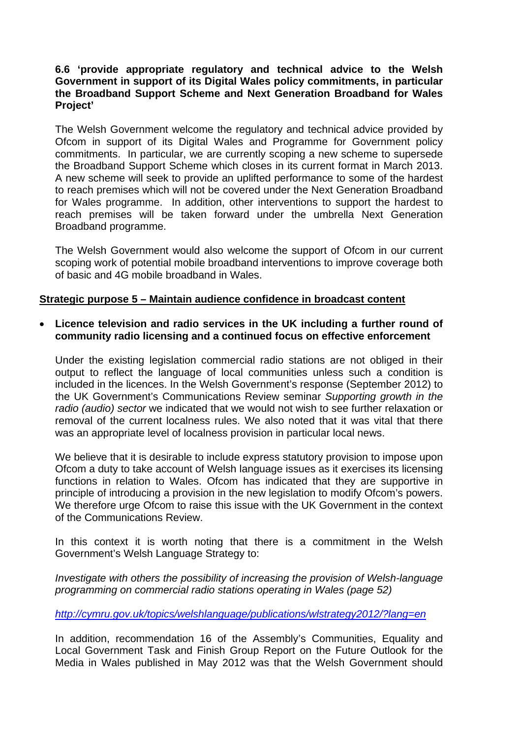# **6.6 'provide appropriate regulatory and technical advice to the Welsh Government in support of its Digital Wales policy commitments, in particular the Broadband Support Scheme and Next Generation Broadband for Wales Project'**

The Welsh Government welcome the regulatory and technical advice provided by Ofcom in support of its Digital Wales and Programme for Government policy commitments. In particular, we are currently scoping a new scheme to supersede the Broadband Support Scheme which closes in its current format in March 2013. A new scheme will seek to provide an uplifted performance to some of the hardest to reach premises which will not be covered under the Next Generation Broadband for Wales programme. In addition, other interventions to support the hardest to reach premises will be taken forward under the umbrella Next Generation Broadband programme.

The Welsh Government would also welcome the support of Ofcom in our current scoping work of potential mobile broadband interventions to improve coverage both of basic and 4G mobile broadband in Wales.

### **Strategic purpose 5 – Maintain audience confidence in broadcast content**

• **Licence television and radio services in the UK including a further round of community radio licensing and a continued focus on effective enforcement**

Under the existing legislation commercial radio stations are not obliged in their output to reflect the language of local communities unless such a condition is included in the licences. In the Welsh Government's response (September 2012) to the UK Government's Communications Review seminar *Supporting growth in the radio (audio) sector* we indicated that we would not wish to see further relaxation or removal of the current localness rules. We also noted that it was vital that there was an appropriate level of localness provision in particular local news.

We believe that it is desirable to include express statutory provision to impose upon Ofcom a duty to take account of Welsh language issues as it exercises its licensing functions in relation to Wales. Ofcom has indicated that they are supportive in principle of introducing a provision in the new legislation to modify Ofcom's powers. We therefore urge Ofcom to raise this issue with the UK Government in the context of the Communications Review.

In this context it is worth noting that there is a commitment in the Welsh Government's Welsh Language Strategy to:

*Investigate with others the possibility of increasing the provision of Welsh-language programming on commercial radio stations operating in Wales (page 52)*

*<http://cymru.gov.uk/topics/welshlanguage/publications/wlstrategy2012/?lang=en>*

In addition, recommendation 16 of the Assembly's Communities, Equality and Local Government Task and Finish Group Report on the Future Outlook for the Media in Wales published in May 2012 was that the Welsh Government should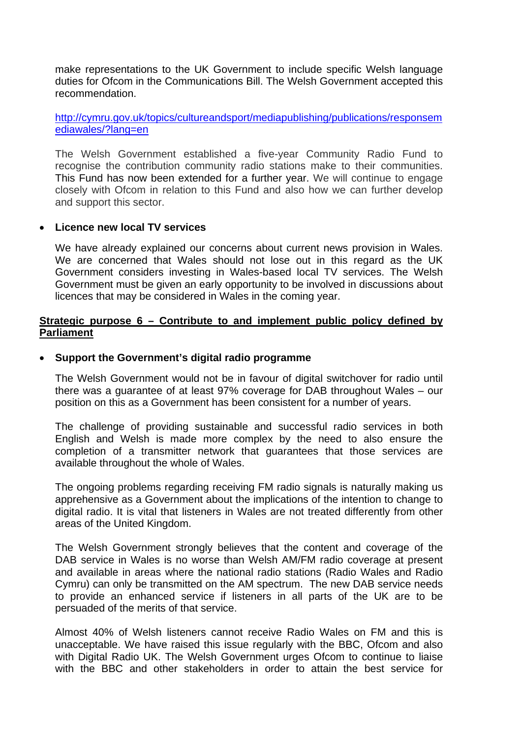make representations to the UK Government to include specific Welsh language duties for Ofcom in the Communications Bill. The Welsh Government accepted this recommendation.

[http://cymru.gov.uk/topics/cultureandsport/mediapublishing/publications/responsem](http://cymru.gov.uk/topics/cultureandsport/mediapublishing/publications/responsemediawales/?lang=en) [ediawales/?lang=en](http://cymru.gov.uk/topics/cultureandsport/mediapublishing/publications/responsemediawales/?lang=en)

The Welsh Government established a five-year Community Radio Fund to recognise the contribution community radio stations make to their communities. This Fund has now been extended for a further year. We will continue to engage closely with Ofcom in relation to this Fund and also how we can further develop and support this sector.

#### • **Licence new local TV services**

We have already explained our concerns about current news provision in Wales. We are concerned that Wales should not lose out in this regard as the UK Government considers investing in Wales-based local TV services. The Welsh Government must be given an early opportunity to be involved in discussions about licences that may be considered in Wales in the coming year.

# **Strategic purpose 6 – Contribute to and implement public policy defined by Parliament**

### • **Support the Government's digital radio programme**

The Welsh Government would not be in favour of digital switchover for radio until there was a guarantee of at least 97% coverage for DAB throughout Wales – our position on this as a Government has been consistent for a number of years.

The challenge of providing sustainable and successful radio services in both English and Welsh is made more complex by the need to also ensure the completion of a transmitter network that guarantees that those services are available throughout the whole of Wales.

The ongoing problems regarding receiving FM radio signals is naturally making us apprehensive as a Government about the implications of the intention to change to digital radio. It is vital that listeners in Wales are not treated differently from other areas of the United Kingdom.

The Welsh Government strongly believes that the content and coverage of the DAB service in Wales is no worse than Welsh AM/FM radio coverage at present and available in areas where the national radio stations (Radio Wales and Radio Cymru) can only be transmitted on the AM spectrum. The new DAB service needs to provide an enhanced service if listeners in all parts of the UK are to be persuaded of the merits of that service.

Almost 40% of Welsh listeners cannot receive Radio Wales on FM and this is unacceptable. We have raised this issue regularly with the BBC, Ofcom and also with Digital Radio UK. The Welsh Government urges Ofcom to continue to liaise with the BBC and other stakeholders in order to attain the best service for